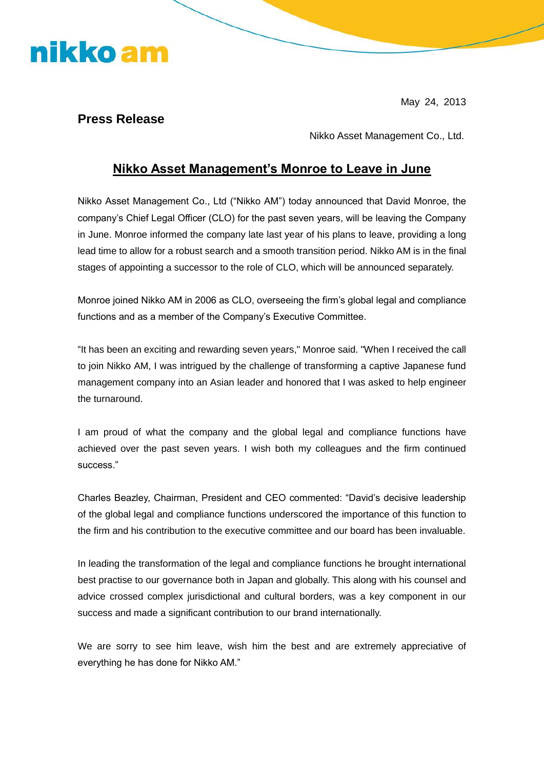# nikko am

May 24, 2013

#### **Press Release**

Nikko Asset Management Co., Ltd.

### **Nikko Asset Management's Monroe to Leave in June**

Nikko Asset Management Co., Ltd ("Nikko AM") today announced that David Monroe, the company's Chief Legal Officer (CLO) for the past seven years, will be leaving the Company in June. Monroe informed the company late last year of his plans to leave, providing a long lead time to allow for a robust search and a smooth transition period. Nikko AM is in the final stages of appointing a successor to the role of CLO, which will be announced separately.

Monroe joined Nikko AM in 2006 as CLO, overseeing the firm's global legal and compliance functions and as a member of the Company's Executive Committee.

"It has been an exciting and rewarding seven years," Monroe said. "When I received the call to join Nikko AM, I was intrigued by the challenge of transforming a captive Japanese fund management company into an Asian leader and honored that I was asked to help engineer the turnaround.

I am proud of what the company and the global legal and compliance functions have achieved over the past seven years. I wish both my colleagues and the firm continued success."

Charles Beazley, Chairman, President and CEO commented: "David's decisive leadership of the global legal and compliance functions underscored the importance of this function to the firm and his contribution to the executive committee and our board has been invaluable.

In leading the transformation of the legal and compliance functions he brought international best practise to our governance both in Japan and globally. This along with his counsel and advice crossed complex jurisdictional and cultural borders, was a key component in our success and made a significant contribution to our brand internationally.

We are sorry to see him leave, wish him the best and are extremely appreciative of everything he has done for Nikko AM."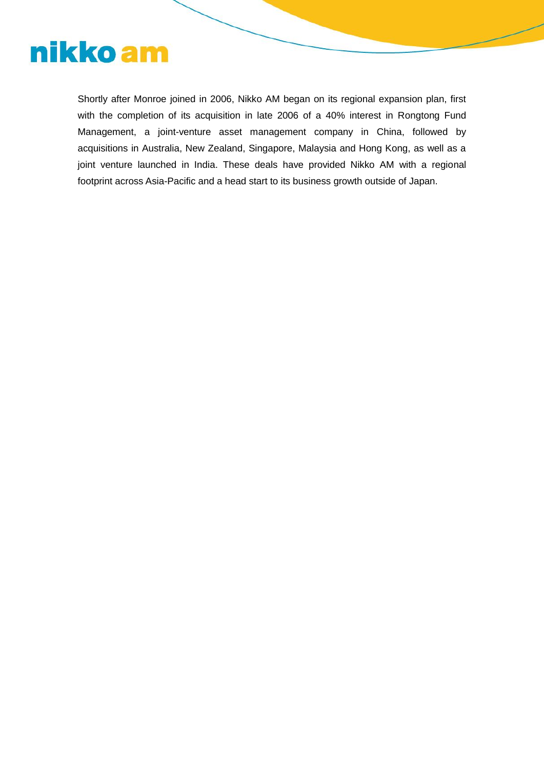

Shortly after Monroe joined in 2006, Nikko AM began on its regional expansion plan, first with the completion of its acquisition in late 2006 of a 40% interest in Rongtong Fund Management, a joint-venture asset management company in China, followed by acquisitions in Australia, New Zealand, Singapore, Malaysia and Hong Kong, as well as a joint venture launched in India. These deals have provided Nikko AM with a regional footprint across Asia-Pacific and a head start to its business growth outside of Japan.